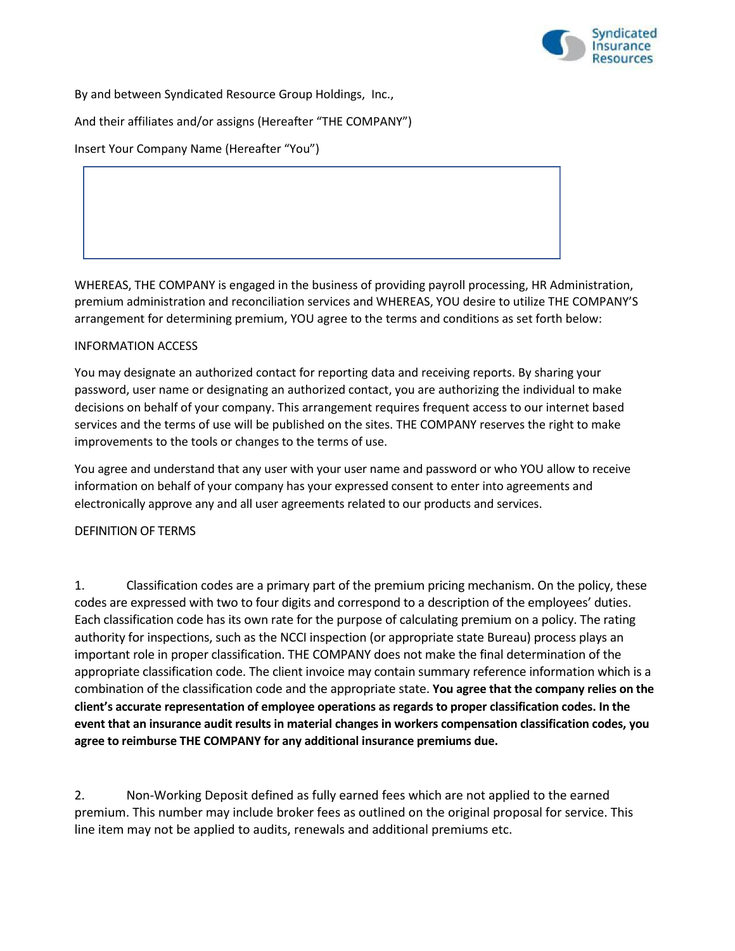

By and between Syndicated Resource Group Holdings, Inc.,

And their affiliates and/or assigns (Hereafter "THE COMPANY")

Insert Your Company Name (Hereafter "You")

WHEREAS, THE COMPANY is engaged in the business of providing payroll processing, HR Administration, premium administration and reconciliation services and WHEREAS, YOU desire to utilize THE COMPANY'S arrangement for determining premium, YOU agree to the terms and conditions as set forth below:

## INFORMATION ACCESS

You may designate an authorized contact for reporting data and receiving reports. By sharing your password, user name or designating an authorized contact, you are authorizing the individual to make decisions on behalf of your company. This arrangement requires frequent access to our internet based services and the terms of use will be published on the sites. THE COMPANY reserves the right to make improvements to the tools or changes to the terms of use.

You agree and understand that any user with your user name and password or who YOU allow to receive information on behalf of your company has your expressed consent to enter into agreements and electronically approve any and all user agreements related to our products and services.

## DEFINITION OF TERMS

1. Classification codes are a primary part of the premium pricing mechanism. On the policy, these codes are expressed with two to four digits and correspond to a description of the employees' duties. Each classification code has its own rate for the purpose of calculating premium on a policy. The rating authority for inspections, such as the NCCI inspection (or appropriate state Bureau) process plays an important role in proper classification. THE COMPANY does not make the final determination of the appropriate classification code. The client invoice may contain summary reference information which is a combination of the classification code and the appropriate state. **You agree that the company relies on the client's accurate representation of employee operations as regards to proper classification codes. In the event that an insurance audit results in material changes in workers compensation classification codes, you agree to reimburse THE COMPANY for any additional insurance premiums due.**

2. Non-Working Deposit defined as fully earned fees which are not applied to the earned premium. This number may include broker fees as outlined on the original proposal for service. This line item may not be applied to audits, renewals and additional premiums etc.